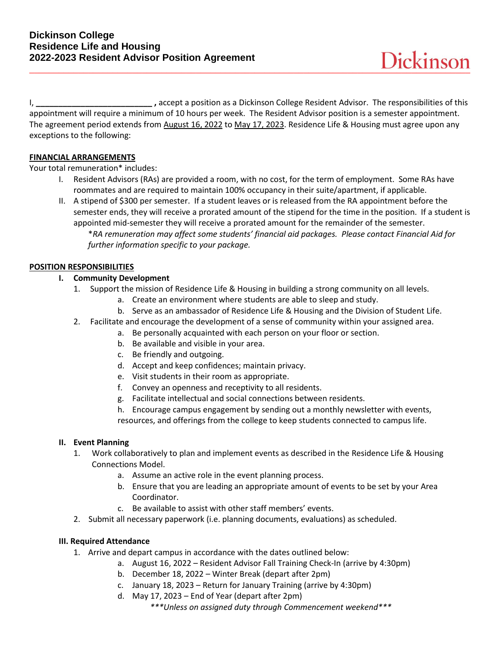I, **\_\_\_\_\_\_\_\_\_\_\_\_\_\_\_\_\_\_\_\_\_\_\_\_\_\_ ,** accept a position as a Dickinson College Resident Advisor. The responsibilities of this appointment will require a minimum of 10 hours per week. The Resident Advisor position is a semester appointment. The agreement period extends from August 16, 2022 to May 17, 2023. Residence Life & Housing must agree upon any exceptions to the following:

## **FINANCIAL ARRANGEMENTS**

Your total remuneration\* includes:

I. Resident Advisors (RAs) are provided a room, with no cost, for the term of employment. Some RAs have roommates and are required to maintain 100% occupancy in their suite/apartment, if applicable.

II. A stipend of \$300 per semester. If a student leaves or is released from the RA appointment before the semester ends, they will receive a prorated amount of the stipend for the time in the position. If a student is appointed mid-semester they will receive a prorated amount for the remainder of the semester. \**RA remuneration may affect some students' financial aid packages. Please contact Financial Aid for further information specific to your package.*

## **POSITION RESPONSIBILITIES**

## **I. Community Development**

- 1. Support the mission of Residence Life & Housing in building a strong community on all levels.
	- a. Create an environment where students are able to sleep and study.
	- b. Serve as an ambassador of Residence Life & Housing and the Division of Student Life.
- 2. Facilitate and encourage the development of a sense of community within your assigned area.
	- a. Be personally acquainted with each person on your floor or section.
		- b. Be available and visible in your area.
		- c. Be friendly and outgoing.
		- d. Accept and keep confidences; maintain privacy.
		- e. Visit students in their room as appropriate.
		- f. Convey an openness and receptivity to all residents.
		- g. Facilitate intellectual and social connections between residents.
		- h. Encourage campus engagement by sending out a monthly newsletter with events,

resources, and offerings from the college to keep students connected to campus life.

## **II. Event Planning**

- 1. Work collaboratively to plan and implement events as described in the Residence Life & Housing Connections Model.
	- a. Assume an active role in the event planning process.
	- b. Ensure that you are leading an appropriate amount of events to be set by your Area Coordinator.
	- c. Be available to assist with other staff members' events.
- 2. Submit all necessary paperwork (i.e. planning documents, evaluations) as scheduled.

## **III. Required Attendance**

- 1. Arrive and depart campus in accordance with the dates outlined below:
	- a. August 16, 2022 Resident Advisor Fall Training Check-In (arrive by 4:30pm)
		- b. December 18, 2022 Winter Break (depart after 2pm)
		- c. January 18, 2023 Return for January Training (arrive by 4:30pm)
		- d. May 17, 2023 End of Year (depart after 2pm) *\*\*\*Unless on assigned duty through Commencement weekend\*\*\**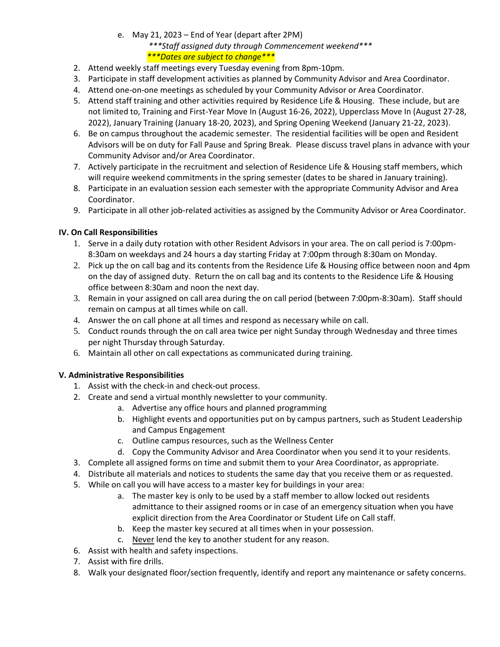# e. May 21, 2023 – End of Year (depart after 2PM) *\*\*\*Staff assigned duty through Commencement weekend\*\*\* \*\*\*Dates are subject to change\*\*\**

- 2. Attend weekly staff meetings every Tuesday evening from 8pm-10pm.
- 3. Participate in staff development activities as planned by Community Advisor and Area Coordinator.
- 4. Attend one-on-one meetings as scheduled by your Community Advisor or Area Coordinator.
- 5. Attend staff training and other activities required by Residence Life & Housing. These include, but are not limited to, Training and First-Year Move In (August 16-26, 2022), Upperclass Move In (August 27-28, 2022), January Training (January 18-20, 2023), and Spring Opening Weekend (January 21-22, 2023).
- 6. Be on campus throughout the academic semester. The residential facilities will be open and Resident Advisors will be on duty for Fall Pause and Spring Break. Please discuss travel plans in advance with your Community Advisor and/or Area Coordinator.
- 7. Actively participate in the recruitment and selection of Residence Life & Housing staff members, which will require weekend commitments in the spring semester (dates to be shared in January training).
- 8. Participate in an evaluation session each semester with the appropriate Community Advisor and Area Coordinator.
- 9. Participate in all other job-related activities as assigned by the Community Advisor or Area Coordinator.

# **IV. On Call Responsibilities**

- 1. Serve in a daily duty rotation with other Resident Advisors in your area. The on call period is 7:00pm-8:30am on weekdays and 24 hours a day starting Friday at 7:00pm through 8:30am on Monday.
- 2. Pick up the on call bag and its contents from the Residence Life & Housing office between noon and 4pm on the day of assigned duty. Return the on call bag and its contents to the Residence Life & Housing office between 8:30am and noon the next day.
- 3. Remain in your assigned on call area during the on call period (between 7:00pm-8:30am). Staff should remain on campus at all times while on call.
- 4. Answer the on call phone at all times and respond as necessary while on call.
- 5. Conduct rounds through the on call area twice per night Sunday through Wednesday and three times per night Thursday through Saturday.
- 6. Maintain all other on call expectations as communicated during training.

# **V. Administrative Responsibilities**

- 1. Assist with the check-in and check-out process.
- 2. Create and send a virtual monthly newsletter to your community.
	- a. Advertise any office hours and planned programming
	- b. Highlight events and opportunities put on by campus partners, such as Student Leadership and Campus Engagement
	- c. Outline campus resources, such as the Wellness Center
	- d. Copy the Community Advisor and Area Coordinator when you send it to your residents.
- 3. Complete all assigned forms on time and submit them to your Area Coordinator, as appropriate.
- 4. Distribute all materials and notices to students the same day that you receive them or as requested.
- 5. While on call you will have access to a master key for buildings in your area:
	- a. The master key is only to be used by a staff member to allow locked out residents admittance to their assigned rooms or in case of an emergency situation when you have explicit direction from the Area Coordinator or Student Life on Call staff.
	- b. Keep the master key secured at all times when in your possession.
	- c. Never lend the key to another student for any reason.
- 6. Assist with health and safety inspections.
- 7. Assist with fire drills.
- 8. Walk your designated floor/section frequently, identify and report any maintenance or safety concerns.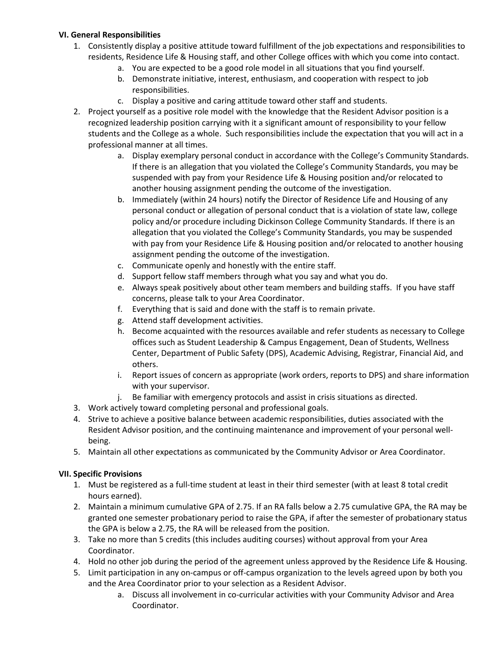## **VI. General Responsibilities**

- 1. Consistently display a positive attitude toward fulfillment of the job expectations and responsibilities to residents, Residence Life & Housing staff, and other College offices with which you come into contact.
	- a. You are expected to be a good role model in all situations that you find yourself.
	- b. Demonstrate initiative, interest, enthusiasm, and cooperation with respect to job responsibilities.
	- c. Display a positive and caring attitude toward other staff and students.
- 2. Project yourself as a positive role model with the knowledge that the Resident Advisor position is a recognized leadership position carrying with it a significant amount of responsibility to your fellow students and the College as a whole. Such responsibilities include the expectation that you will act in a professional manner at all times.
	- a. Display exemplary personal conduct in accordance with the College's Community Standards. If there is an allegation that you violated the College's Community Standards, you may be suspended with pay from your Residence Life & Housing position and/or relocated to another housing assignment pending the outcome of the investigation.
	- b. Immediately (within 24 hours) notify the Director of Residence Life and Housing of any personal conduct or allegation of personal conduct that is a violation of state law, college policy and/or procedure including Dickinson College Community Standards. If there is an allegation that you violated the College's Community Standards, you may be suspended with pay from your Residence Life & Housing position and/or relocated to another housing assignment pending the outcome of the investigation.
	- c. Communicate openly and honestly with the entire staff.
	- d. Support fellow staff members through what you say and what you do.
	- e. Always speak positively about other team members and building staffs. If you have staff concerns, please talk to your Area Coordinator.
	- f. Everything that is said and done with the staff is to remain private.
	- g. Attend staff development activities.
	- h. Become acquainted with the resources available and refer students as necessary to College offices such as Student Leadership & Campus Engagement, Dean of Students, Wellness Center, Department of Public Safety (DPS), Academic Advising, Registrar, Financial Aid, and others.
	- i. Report issues of concern as appropriate (work orders, reports to DPS) and share information with your supervisor.
	- j. Be familiar with emergency protocols and assist in crisis situations as directed.
- 3. Work actively toward completing personal and professional goals.
- 4. Strive to achieve a positive balance between academic responsibilities, duties associated with the Resident Advisor position, and the continuing maintenance and improvement of your personal wellbeing.
- 5. Maintain all other expectations as communicated by the Community Advisor or Area Coordinator.

# **VII. Specific Provisions**

- 1. Must be registered as a full-time student at least in their third semester (with at least 8 total credit hours earned).
- 2. Maintain a minimum cumulative GPA of 2.75. If an RA falls below a 2.75 cumulative GPA, the RA may be granted one semester probationary period to raise the GPA, if after the semester of probationary status the GPA is below a 2.75, the RA will be released from the position.
- 3. Take no more than 5 credits (this includes auditing courses) without approval from your Area Coordinator.
- 4. Hold no other job during the period of the agreement unless approved by the Residence Life & Housing.
- 5. Limit participation in any on-campus or off-campus organization to the levels agreed upon by both you and the Area Coordinator prior to your selection as a Resident Advisor.
	- a. Discuss all involvement in co-curricular activities with your Community Advisor and Area Coordinator.